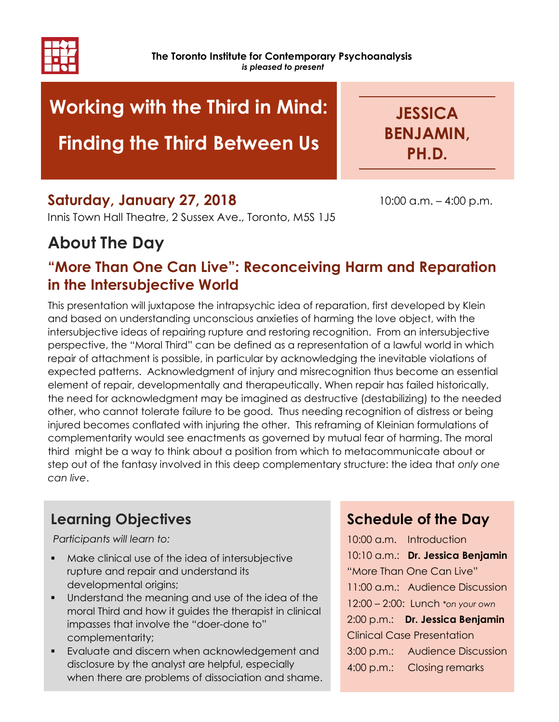

# Working with the Third in Mind:

# Finding the Third Between Us

**JESSICA** BENJAMIN, PH.D.

10:00 a.m. – 4:00 p.m.

### Saturday, January 27, 2018

Innis Town Hall Theatre, 2 Sussex Ave., Toronto, M5S 1J5

## About The Day

### "More Than One Can Live": Reconceiving Harm and Reparation in the Intersubjective World

This presentation will juxtapose the intrapsychic idea of reparation, first developed by Klein and based on understanding unconscious anxieties of harming the love object, with the intersubjective ideas of repairing rupture and restoring recognition. From an intersubjective perspective, the "Moral Third" can be defined as a representation of a lawful world in which repair of attachment is possible, in particular by acknowledging the inevitable violations of expected patterns. Acknowledgment of injury and misrecognition thus become an essential element of repair, developmentally and therapeutically. When repair has failed historically, the need for acknowledgment may be imagined as destructive (destabilizing) to the needed other, who cannot tolerate failure to be good. Thus needing recognition of distress or being injured becomes conflated with injuring the other. This reframing of Kleinian formulations of complementarity would see enactments as governed by mutual fear of harming. The moral third might be a way to think about a position from which to metacommunicate about or step out of the fantasy involved in this deep complementary structure: the idea that only one can live.

## Learning Objectives

Participants will learn to:

- Make clinical use of the idea of intersubjective rupture and repair and understand its developmental origins;
- Understand the meaning and use of the idea of the moral Third and how it guides the therapist in clinical impasses that involve the "doer-done to" complementarity;
- Evaluate and discern when acknowledgement and disclosure by the analyst are helpful, especially when there are problems of dissociation and shame.

### Schedule of the Day

10:00 a.m. Introduction 10:10 a.m.: Dr. Jessica Benjamin "More Than One Can Live" 11:00 a.m.: Audience Discussion 12:00 – 2:00: Lunch \*on your own 2:00 p.m.: Dr. Jessica Benjamin Clinical Case Presentation 3:00 p.m.: Audience Discussion 4:00 p.m.: Closing remarks